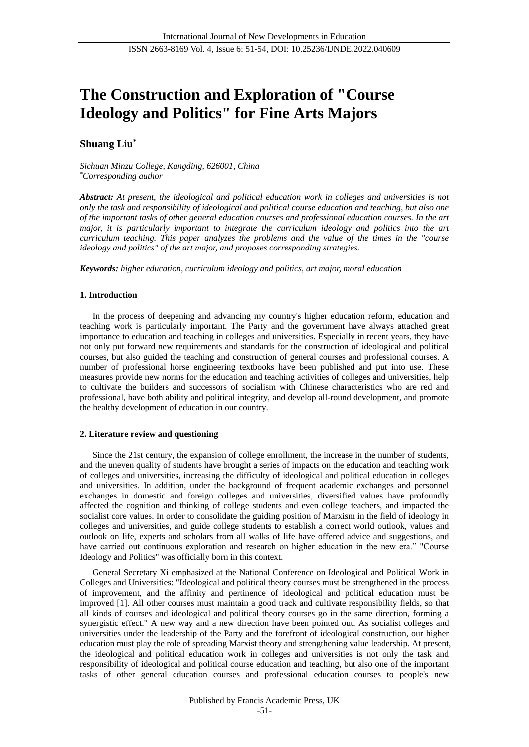# **The Construction and Exploration of "Course Ideology and Politics" for Fine Arts Majors**

# **Shuang Liu\***

*Sichuan Minzu College, Kangding, 626001, China \*Corresponding author*

*Abstract: At present, the ideological and political education work in colleges and universities is not only the task and responsibility of ideological and political course education and teaching, but also one of the important tasks of other general education courses and professional education courses. In the art major, it is particularly important to integrate the curriculum ideology and politics into the art curriculum teaching. This paper analyzes the problems and the value of the times in the "course ideology and politics" of the art major, and proposes corresponding strategies.*

*Keywords: higher education, curriculum ideology and politics, art major, moral education*

# **1. Introduction**

In the process of deepening and advancing my country's higher education reform, education and teaching work is particularly important. The Party and the government have always attached great importance to education and teaching in colleges and universities. Especially in recent years, they have not only put forward new requirements and standards for the construction of ideological and political courses, but also guided the teaching and construction of general courses and professional courses. A number of professional horse engineering textbooks have been published and put into use. These measures provide new norms for the education and teaching activities of colleges and universities, help to cultivate the builders and successors of socialism with Chinese characteristics who are red and professional, have both ability and political integrity, and develop all-round development, and promote the healthy development of education in our country.

## **2. Literature review and questioning**

Since the 21st century, the expansion of college enrollment, the increase in the number of students, and the uneven quality of students have brought a series of impacts on the education and teaching work of colleges and universities, increasing the difficulty of ideological and political education in colleges and universities. In addition, under the background of frequent academic exchanges and personnel exchanges in domestic and foreign colleges and universities, diversified values have profoundly affected the cognition and thinking of college students and even college teachers, and impacted the socialist core values. In order to consolidate the guiding position of Marxism in the field of ideology in colleges and universities, and guide college students to establish a correct world outlook, values and outlook on life, experts and scholars from all walks of life have offered advice and suggestions, and have carried out continuous exploration and research on higher education in the new era." "Course Ideology and Politics" was officially born in this context.

General Secretary Xi emphasized at the National Conference on Ideological and Political Work in Colleges and Universities: "Ideological and political theory courses must be strengthened in the process of improvement, and the affinity and pertinence of ideological and political education must be improved [1]. All other courses must maintain a good track and cultivate responsibility fields, so that all kinds of courses and ideological and political theory courses go in the same direction, forming a synergistic effect." A new way and a new direction have been pointed out. As socialist colleges and universities under the leadership of the Party and the forefront of ideological construction, our higher education must play the role of spreading Marxist theory and strengthening value leadership. At present, the ideological and political education work in colleges and universities is not only the task and responsibility of ideological and political course education and teaching, but also one of the important tasks of other general education courses and professional education courses to people's new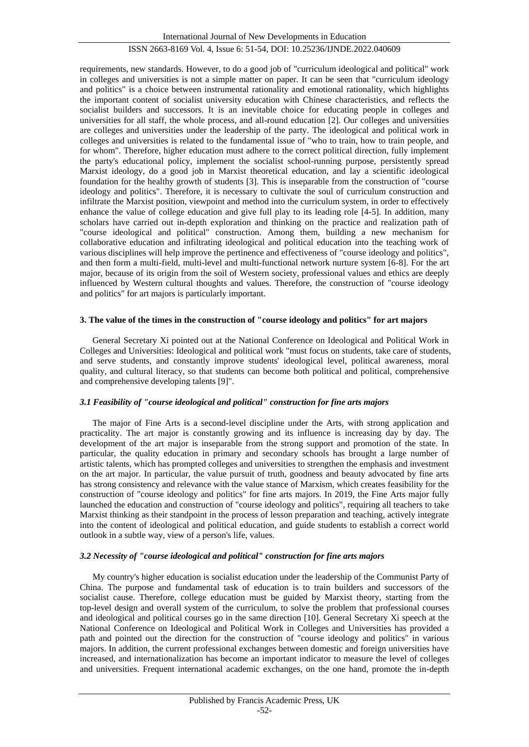# ISSN 2663-8169 Vol. 4, Issue 6: 51-54, DOI: 10.25236/IJNDE.2022.040609

requirements, new standards. However, to do a good job of "curriculum ideological and political" work in colleges and universities is not a simple matter on paper. It can be seen that "curriculum ideology and politics" is a choice between instrumental rationality and emotional rationality, which highlights the important content of socialist university education with Chinese characteristics, and reflects the socialist builders and successors. It is an inevitable choice for educating people in colleges and universities for all staff, the whole process, and all-round education [2]. Our colleges and universities are colleges and universities under the leadership of the party. The ideological and political work in colleges and universities is related to the fundamental issue of "who to train, how to train people, and for whom". Therefore, higher education must adhere to the correct political direction, fully implement the party's educational policy, implement the socialist school-running purpose, persistently spread Marxist ideology, do a good job in Marxist theoretical education, and lay a scientific ideological foundation for the healthy growth of students [3]. This is inseparable from the construction of "course ideology and politics". Therefore, it is necessary to cultivate the soul of curriculum construction and infiltrate the Marxist position, viewpoint and method into the curriculum system, in order to effectively enhance the value of college education and give full play to its leading role [4-5]. In addition, many scholars have carried out in-depth exploration and thinking on the practice and realization path of "course ideological and political" construction. Among them, building a new mechanism for collaborative education and infiltrating ideological and political education into the teaching work of various disciplines will help improve the pertinence and effectiveness of "course ideology and politics", and then form a multi-field, multi-level and multi-functional network nurture system [6-8]. For the art major, because of its origin from the soil of Western society, professional values and ethics are deeply influenced by Western cultural thoughts and values. Therefore, the construction of "course ideology and politics" for art majors is particularly important.

#### **3. The value of the times in the construction of "course ideology and politics" for art majors**

General Secretary Xi pointed out at the National Conference on Ideological and Political Work in Colleges and Universities: Ideological and political work "must focus on students, take care of students, and serve students, and constantly improve students' ideological level, political awareness, moral quality, and cultural literacy, so that students can become both political and political, comprehensive and comprehensive developing talents [9]".

## *3.1 Feasibility of "course ideological and political" construction for fine arts majors*

The major of Fine Arts is a second-level discipline under the Arts, with strong application and practicality. The art major is constantly growing and its influence is increasing day by day. The development of the art major is inseparable from the strong support and promotion of the state. In particular, the quality education in primary and secondary schools has brought a large number of artistic talents, which has prompted colleges and universities to strengthen the emphasis and investment on the art major. In particular, the value pursuit of truth, goodness and beauty advocated by fine arts has strong consistency and relevance with the value stance of Marxism, which creates feasibility for the construction of "course ideology and politics" for fine arts majors. In 2019, the Fine Arts major fully launched the education and construction of "course ideology and politics", requiring all teachers to take Marxist thinking as their standpoint in the process of lesson preparation and teaching, actively integrate into the content of ideological and political education, and guide students to establish a correct world outlook in a subtle way, view of a person's life, values.

#### *3.2 Necessity of "course ideological and political" construction for fine arts majors*

My country's higher education is socialist education under the leadership of the Communist Party of China. The purpose and fundamental task of education is to train builders and successors of the socialist cause. Therefore, college education must be guided by Marxist theory, starting from the top-level design and overall system of the curriculum, to solve the problem that professional courses and ideological and political courses go in the same direction [10]. General Secretary Xi speech at the National Conference on Ideological and Political Work in Colleges and Universities has provided a path and pointed out the direction for the construction of "course ideology and politics" in various majors. In addition, the current professional exchanges between domestic and foreign universities have increased, and internationalization has become an important indicator to measure the level of colleges and universities. Frequent international academic exchanges, on the one hand, promote the in-depth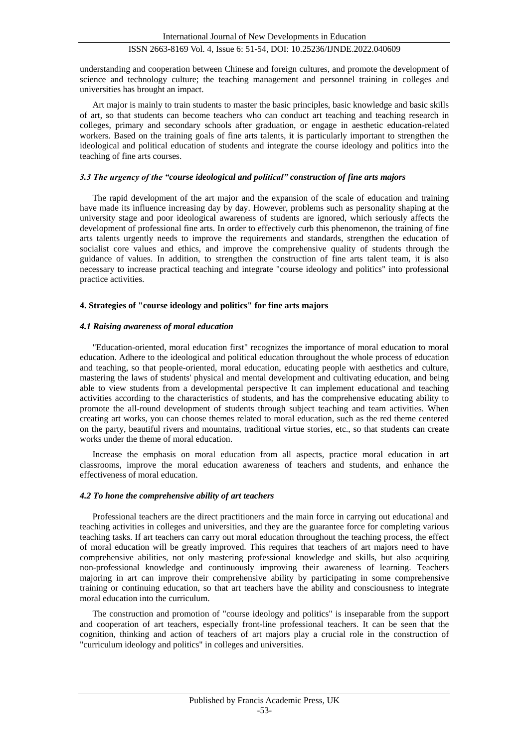## ISSN 2663-8169 Vol. 4, Issue 6: 51-54, DOI: 10.25236/IJNDE.2022.040609

understanding and cooperation between Chinese and foreign cultures, and promote the development of science and technology culture; the teaching management and personnel training in colleges and universities has brought an impact.

Art major is mainly to train students to master the basic principles, basic knowledge and basic skills of art, so that students can become teachers who can conduct art teaching and teaching research in colleges, primary and secondary schools after graduation, or engage in aesthetic education-related workers. Based on the training goals of fine arts talents, it is particularly important to strengthen the ideological and political education of students and integrate the course ideology and politics into the teaching of fine arts courses.

## *3.3 The urgency of the "course ideological and political" construction of fine arts majors*

The rapid development of the art major and the expansion of the scale of education and training have made its influence increasing day by day. However, problems such as personality shaping at the university stage and poor ideological awareness of students are ignored, which seriously affects the development of professional fine arts. In order to effectively curb this phenomenon, the training of fine arts talents urgently needs to improve the requirements and standards, strengthen the education of socialist core values and ethics, and improve the comprehensive quality of students through the guidance of values. In addition, to strengthen the construction of fine arts talent team, it is also necessary to increase practical teaching and integrate "course ideology and politics" into professional practice activities.

#### **4. Strategies of "course ideology and politics" for fine arts majors**

#### *4.1 Raising awareness of moral education*

"Education-oriented, moral education first" recognizes the importance of moral education to moral education. Adhere to the ideological and political education throughout the whole process of education and teaching, so that people-oriented, moral education, educating people with aesthetics and culture, mastering the laws of students' physical and mental development and cultivating education, and being able to view students from a developmental perspective It can implement educational and teaching activities according to the characteristics of students, and has the comprehensive educating ability to promote the all-round development of students through subject teaching and team activities. When creating art works, you can choose themes related to moral education, such as the red theme centered on the party, beautiful rivers and mountains, traditional virtue stories, etc., so that students can create works under the theme of moral education.

Increase the emphasis on moral education from all aspects, practice moral education in art classrooms, improve the moral education awareness of teachers and students, and enhance the effectiveness of moral education.

#### *4.2 To hone the comprehensive ability of art teachers*

Professional teachers are the direct practitioners and the main force in carrying out educational and teaching activities in colleges and universities, and they are the guarantee force for completing various teaching tasks. If art teachers can carry out moral education throughout the teaching process, the effect of moral education will be greatly improved. This requires that teachers of art majors need to have comprehensive abilities, not only mastering professional knowledge and skills, but also acquiring non-professional knowledge and continuously improving their awareness of learning. Teachers majoring in art can improve their comprehensive ability by participating in some comprehensive training or continuing education, so that art teachers have the ability and consciousness to integrate moral education into the curriculum.

The construction and promotion of "course ideology and politics" is inseparable from the support and cooperation of art teachers, especially front-line professional teachers. It can be seen that the cognition, thinking and action of teachers of art majors play a crucial role in the construction of "curriculum ideology and politics" in colleges and universities.